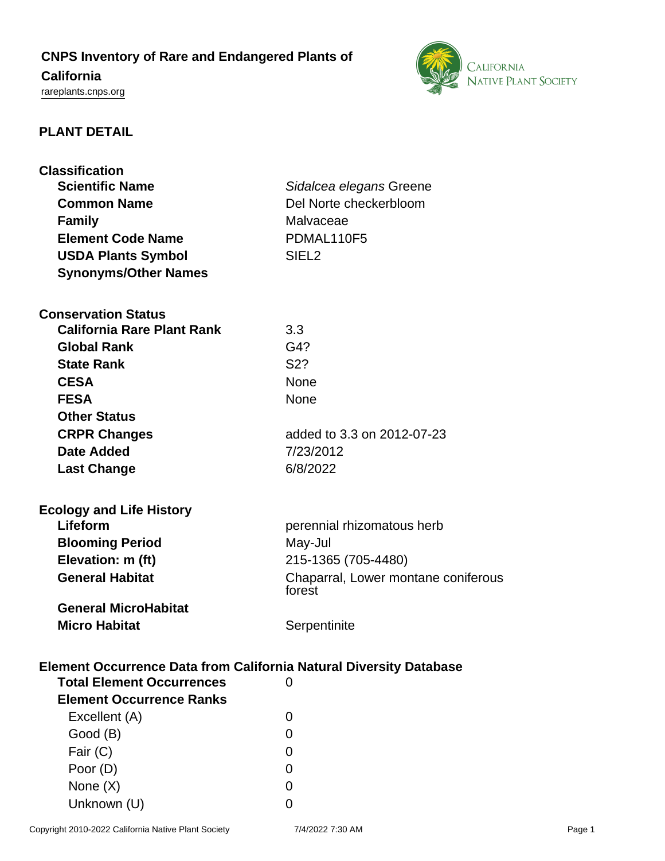# **CNPS Inventory of Rare and Endangered Plants of**

# **California**

<rareplants.cnps.org>



# **PLANT DETAIL**

| <b>Classification</b>                                                     |                                     |
|---------------------------------------------------------------------------|-------------------------------------|
| <b>Scientific Name</b>                                                    | Sidalcea elegans Greene             |
| <b>Common Name</b>                                                        | Del Norte checkerbloom              |
| <b>Family</b>                                                             | Malvaceae                           |
| <b>Element Code Name</b>                                                  | PDMAL110F5                          |
| <b>USDA Plants Symbol</b>                                                 | SIEL <sub>2</sub>                   |
| <b>Synonyms/Other Names</b>                                               |                                     |
|                                                                           |                                     |
| <b>Conservation Status</b>                                                |                                     |
| <b>California Rare Plant Rank</b>                                         | 3.3                                 |
| <b>Global Rank</b>                                                        | G4?                                 |
| <b>State Rank</b>                                                         | S <sub>2</sub> ?                    |
| <b>CESA</b>                                                               | <b>None</b>                         |
| <b>FESA</b>                                                               | <b>None</b>                         |
| <b>Other Status</b>                                                       |                                     |
| <b>CRPR Changes</b>                                                       | added to 3.3 on 2012-07-23          |
| Date Added                                                                | 7/23/2012                           |
| <b>Last Change</b>                                                        | 6/8/2022                            |
|                                                                           |                                     |
| <b>Ecology and Life History</b>                                           |                                     |
| Lifeform                                                                  | perennial rhizomatous herb          |
| <b>Blooming Period</b>                                                    | May-Jul                             |
| Elevation: m (ft)                                                         | 215-1365 (705-4480)                 |
| <b>General Habitat</b>                                                    | Chaparral, Lower montane coniferous |
|                                                                           | forest                              |
| <b>General MicroHabitat</b>                                               |                                     |
| <b>Micro Habitat</b>                                                      | Serpentinite                        |
|                                                                           |                                     |
| <b>Element Occurrence Data from California Natural Diversity Database</b> |                                     |
| <b>Total Element Occurrences</b>                                          | 0                                   |
| <b>Element Occurrence Ranks</b>                                           |                                     |
| Excellent (A)                                                             | 0                                   |
| Good (B)                                                                  | 0                                   |
| Fair (C)                                                                  | 0                                   |
| Poor (D)                                                                  | 0                                   |
| None $(X)$                                                                | 0                                   |
| Unknown (U)                                                               | 0                                   |